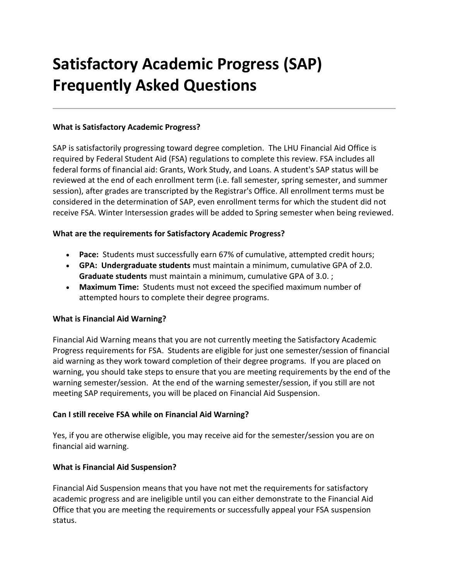# **Satisfactory Academic Progress (SAP) Frequently Asked Questions**

## **What is Satisfactory Academic Progress?**

SAP is satisfactorily progressing toward degree completion. The LHU Financial Aid Office is required by Federal Student Aid (FSA) regulations to complete this review. FSA includes all federal forms of financial aid: Grants, Work Study, and Loans. A student's SAP status will be reviewed at the end of each enrollment term (i.e. fall semester, spring semester, and summer session), after grades are transcripted by the Registrar's Office. All enrollment terms must be considered in the determination of SAP, even enrollment terms for which the student did not receive FSA. Winter Intersession grades will be added to Spring semester when being reviewed.

## **What are the requirements for Satisfactory Academic Progress?**

- **Pace:** Students must successfully earn 67% of cumulative, attempted credit hours;
- **GPA: Undergraduate students** must maintain a minimum, cumulative GPA of 2.0. **Graduate students** must maintain a minimum, cumulative GPA of 3.0. ;
- **Maximum Time:** Students must not exceed the specified maximum number of attempted hours to complete their degree programs.

#### **What is Financial Aid Warning?**

Financial Aid Warning means that you are not currently meeting the Satisfactory Academic Progress requirements for FSA. Students are eligible for just one semester/session of financial aid warning as they work toward completion of their degree programs. If you are placed on warning, you should take steps to ensure that you are meeting requirements by the end of the warning semester/session. At the end of the warning semester/session, if you still are not meeting SAP requirements, you will be placed on Financial Aid Suspension.

#### **Can I still receive FSA while on Financial Aid Warning?**

Yes, if you are otherwise eligible, you may receive aid for the semester/session you are on financial aid warning.

#### **What is Financial Aid Suspension?**

Financial Aid Suspension means that you have not met the requirements for satisfactory academic progress and are ineligible until you can either demonstrate to the Financial Aid Office that you are meeting the requirements or successfully appeal your FSA suspension status.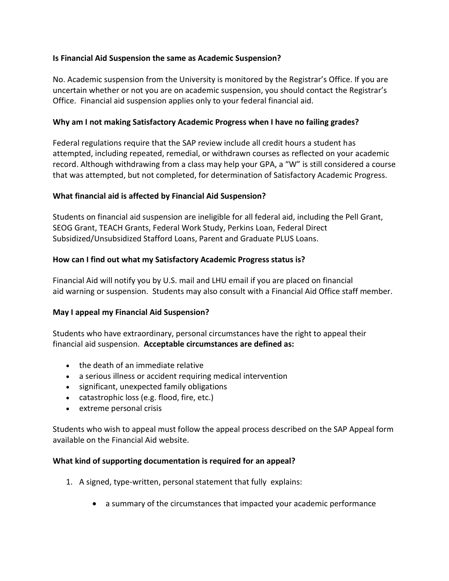## **Is Financial Aid Suspension the same as Academic Suspension?**

No. Academic suspension from the University is monitored by the Registrar's Office. If you are uncertain whether or not you are on academic suspension, you should contact the Registrar's Office. Financial aid suspension applies only to your federal financial aid.

#### **Why am I not making Satisfactory Academic Progress when I have no failing grades?**

Federal regulations require that the SAP review include all credit hours a student has attempted, including repeated, remedial, or withdrawn courses as reflected on your academic record. Although withdrawing from a class may help your GPA, a "W" is still considered a course that was attempted, but not completed, for determination of Satisfactory Academic Progress.

## **What financial aid is affected by Financial Aid Suspension?**

Students on financial aid suspension are ineligible for all federal aid, including the Pell Grant, SEOG Grant, TEACH Grants, Federal Work Study, Perkins Loan, Federal Direct Subsidized/Unsubsidized Stafford Loans, Parent and Graduate PLUS Loans.

## **How can I find out what my Satisfactory Academic Progress status is?**

Financial Aid will notify you by U.S. mail and LHU email if you are placed on financial aid warning or suspension. Students may also consult with a Financial Aid Office staff member.

## **May I appeal my Financial Aid Suspension?**

Students who have extraordinary, personal circumstances have the right to appeal their financial aid suspension. **Acceptable circumstances are defined as:** 

- the death of an immediate relative
- a serious illness or accident requiring medical intervention
- significant, unexpected family obligations
- catastrophic loss (e.g. flood, fire, etc.)
- extreme personal crisis

Students who wish to appeal must follow the appeal process described on the SAP Appeal form available on the Financial Aid website.

#### **What kind of supporting documentation is required for an appeal?**

- 1. A signed, type-written, personal statement that fully explains:
	- a summary of the circumstances that impacted your academic performance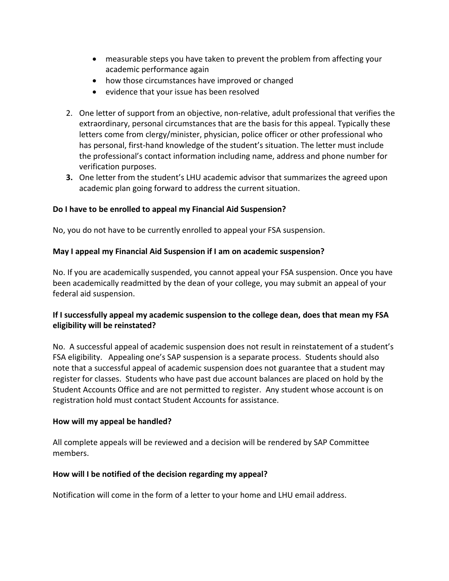- measurable steps you have taken to prevent the problem from affecting your academic performance again
- how those circumstances have improved or changed
- evidence that your issue has been resolved
- 2. One letter of support from an objective, non-relative, adult professional that verifies the extraordinary, personal circumstances that are the basis for this appeal. Typically these letters come from clergy/minister, physician, police officer or other professional who has personal, first-hand knowledge of the student's situation. The letter must include the professional's contact information including name, address and phone number for verification purposes.
- **3.** One letter from the student's LHU academic advisor that summarizes the agreed upon academic plan going forward to address the current situation.

## **Do I have to be enrolled to appeal my Financial Aid Suspension?**

No, you do not have to be currently enrolled to appeal your FSA suspension.

## **May I appeal my Financial Aid Suspension if I am on academic suspension?**

No. If you are academically suspended, you cannot appeal your FSA suspension. Once you have been academically readmitted by the dean of your college, you may submit an appeal of your federal aid suspension.

# **If I successfully appeal my academic suspension to the college dean, does that mean my FSA eligibility will be reinstated?**

No. A successful appeal of academic suspension does not result in reinstatement of a student's FSA eligibility. Appealing one's SAP suspension is a separate process. Students should also note that a successful appeal of academic suspension does not guarantee that a student may register for classes. Students who have past due account balances are placed on hold by the Student Accounts Office and are not permitted to register. Any student whose account is on registration hold must contact Student Accounts for assistance.

#### **How will my appeal be handled?**

All complete appeals will be reviewed and a decision will be rendered by SAP Committee members.

#### **How will I be notified of the decision regarding my appeal?**

Notification will come in the form of a letter to your home and LHU email address.